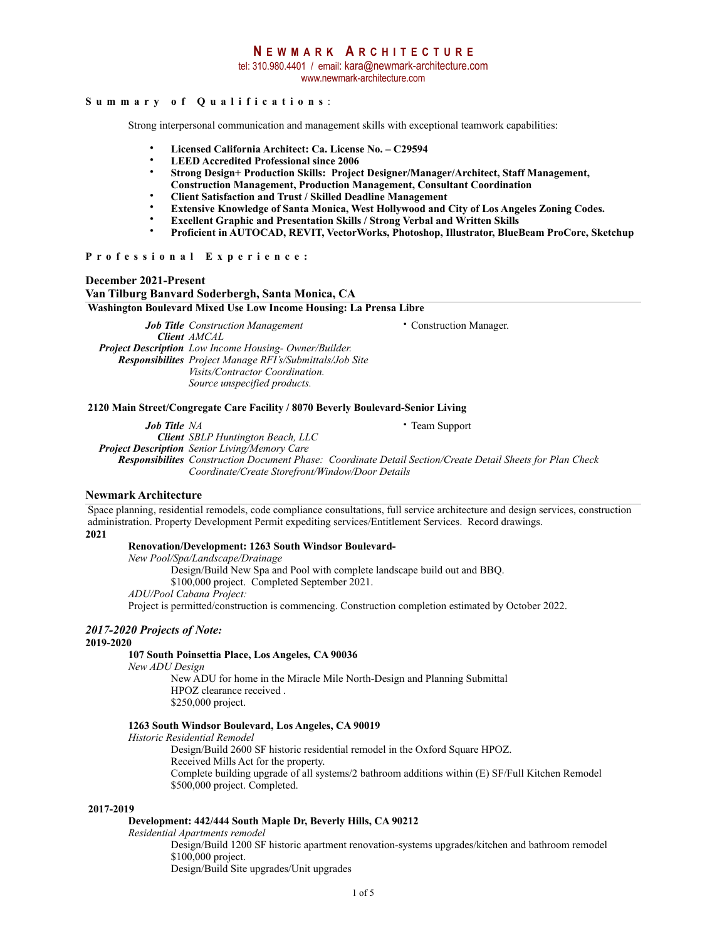tel: 310.980.4401 / email: kara@newmark-architecture.com

www.newmark-architecture.com

### **Summary of Qualifications** :

Strong interpersonal communication and management skills with exceptional teamwork capabilities:

- **Licensed California Architect: Ca. License No. C29594**
- **LEED Accredited Professional since 2006**
- **Strong Design+ Production Skills: Project Designer/Manager/Architect, Staff Management,**
- **Construction Management, Production Management, Consultant Coordination**
- **Client Satisfaction and Trust / Skilled Deadline Management**
- **Extensive Knowledge of Santa Monica, West Hollywood and City of Los Angeles Zoning Codes.**
- **Excellent Graphic and Presentation Skills / Strong Verbal and Written Skills**
- **Proficient in AUTOCAD, REVIT, VectorWorks, Photoshop, Illustrator, BlueBeam ProCore, Sketchup**

#### **Professional Experience:**

**December 2021-Present** 

#### **Van Tilburg Banvard Soderbergh, Santa Monica, CA**

**Washington Boulevard Mixed Use Low Income Housing: La Prensa Libre**

*Job Title Construction Management* • Construction Manager. *Client AMCAL Project Description Low Income Housing- Owner/Builder. Responsibilites Project Manage RFI's/Submittals/Job Site Visits/Contractor Coordination. Source unspecified products.*

#### **2120 Main Street/Congregate Care Facility / 8070 Beverly Boulevard-Senior Living**

*Job Title NA* • Team Support *Client SBLP Huntington Beach, LLC Project Description Senior Living/Memory Care Responsibilites Construction Document Phase: Coordinate Detail Section/Create Detail Sheets for Plan Check Coordinate/Create Storefront/Window/Door Details* 

#### **Newmark Architecture**

**2021**  Space planning, residential remodels, code compliance consultations, full service architecture and design services, construction administration. Property Development Permit expediting services/Entitlement Services. Record drawings.

#### **Renovation/Development: 1263 South Windsor Boulevard-**

*New Pool/Spa/Landscape/Drainage* 

Design/Build New Spa and Pool with complete landscape build out and BBQ.

\$100,000 project. Completed September 2021.

*ADU/Pool Cabana Project:* 

Project is permitted/construction is commencing. Construction completion estimated by October 2022.

# *2017-2020 Projects of Note:*

#### **2019-2020**

#### **107 South Poinsettia Place, Los Angeles, CA 90036**

*New ADU Design* 

New ADU for home in the Miracle Mile North-Design and Planning Submittal HPOZ clearance received . \$250,000 project.

#### **1263 South Windsor Boulevard, Los Angeles, CA 90019**

*Historic Residential Remodel* 

Design/Build 2600 SF historic residential remodel in the Oxford Square HPOZ. Received Mills Act for the property. Complete building upgrade of all systems/2 bathroom additions within (E) SF/Full Kitchen Remodel \$500,000 project. Completed.

#### **2017-2019**

#### **Development: 442/444 South Maple Dr, Beverly Hills, CA 90212**

*Residential Apartments remodel* 

Design/Build 1200 SF historic apartment renovation-systems upgrades/kitchen and bathroom remodel \$100,000 project.

Design/Build Site upgrades/Unit upgrades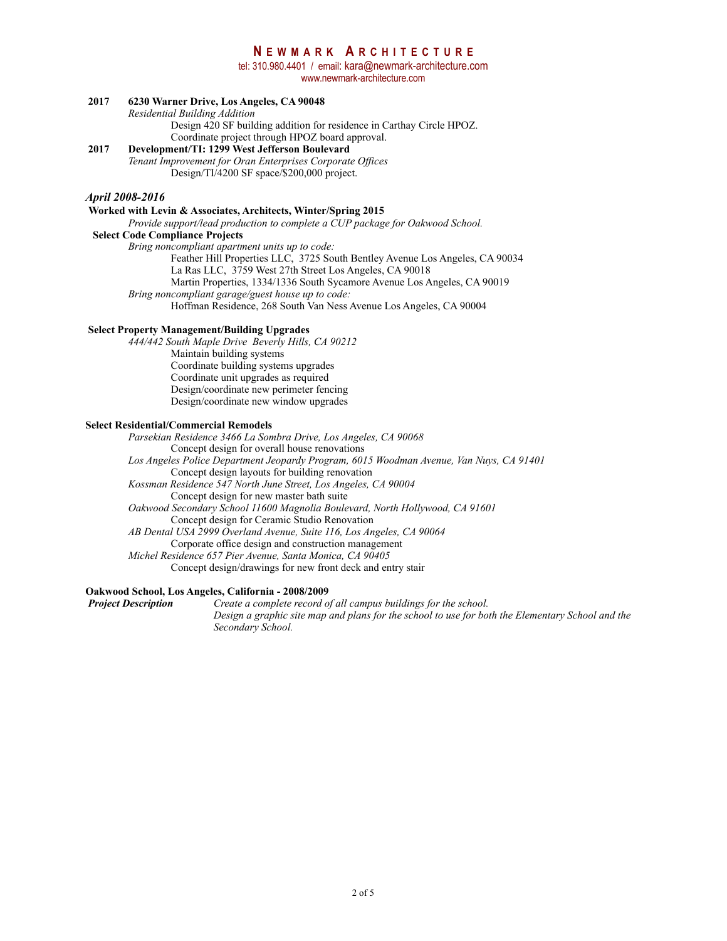tel: 310.980.4401 / email: kara@newmark-architecture.com

www.newmark-architecture.com

### **2017 6230 Warner Drive, Los Angeles, CA 90048**

*Residential Building Addition* 

Design 420 SF building addition for residence in Carthay Circle HPOZ.

#### Coordinate project through HPOZ board approval.<br>
2017 **Development/TI: 1299 West Jefferson Boulevard 2017 Development/TI: 1299 West Jefferson Boulevard**

*Tenant Improvement for Oran Enterprises Corporate Offices* Design/TI/4200 SF space/\$200,000 project.

#### *April 2008-2016*

#### **Worked with Levin & Associates, Architects, Winter/Spring 2015**

*Provide support/lead production to complete a CUP package for Oakwood School.* 

**Select Code Compliance Projects** 

*Bring noncompliant apartment units up to code:* 

 Feather Hill Properties LLC, 3725 South Bentley Avenue Los Angeles, CA 90034 La Ras LLC, 3759 West 27th Street Los Angeles, CA 90018

Martin Properties, 1334/1336 South Sycamore Avenue Los Angeles, CA 90019

*Bring noncompliant garage/guest house up to code:* 

Hoffman Residence, 268 South Van Ness Avenue Los Angeles, CA 90004

#### **Select Property Management/Building Upgrades**

*444/442 South Maple Drive Beverly Hills, CA 90212*  Maintain building systems Coordinate building systems upgrades Coordinate unit upgrades as required Design/coordinate new perimeter fencing Design/coordinate new window upgrades

#### **Select Residential/Commercial Remodels**

*Parsekian Residence 3466 La Sombra Drive, Los Angeles, CA 90068* Concept design for overall house renovations *Los Angeles Police Department Jeopardy Program, 6015 Woodman Avenue, Van Nuys, CA 91401* Concept design layouts for building renovation *Kossman Residence 547 North June Street, Los Angeles, CA 90004*  Concept design for new master bath suite *Oakwood Secondary School 11600 Magnolia Boulevard, North Hollywood, CA 91601* Concept design for Ceramic Studio Renovation *AB Dental USA 2999 Overland Avenue, Suite 116, Los Angeles, CA 90064* Corporate office design and construction management *Michel Residence 657 Pier Avenue, Santa Monica, CA 90405* Concept design/drawings for new front deck and entry stair

# **Oakwood School, Los Angeles, California - 2008/2009**

*Create a complete record of all campus buildings for the school. Design a graphic site map and plans for the school to use for both the Elementary School and the Secondary School.*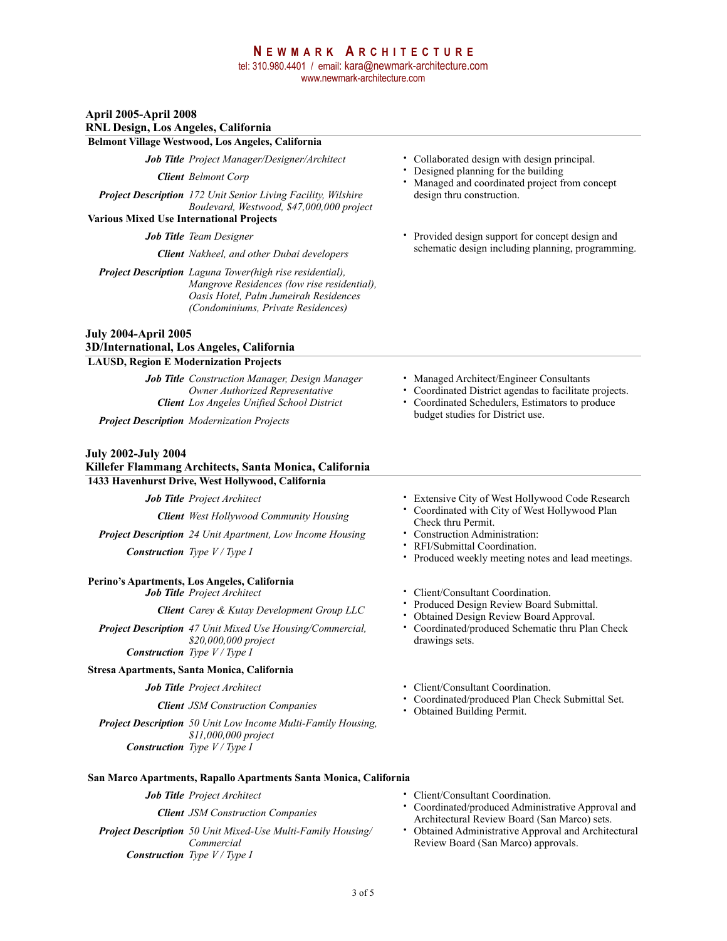### **N EWMARK A RCHITECTURE** tel: 310.980.4401 / email: kara@newmark-architecture.com www.newmark-architecture.com

#### **April 2005-April 2008**

#### **RNL Design, Los Angeles, California Belmont Village Westwood, Los Angeles, California**

*Client Belmont Corp*

*Project Description 172 Unit Senior Living Facility, Wilshire Boulevard, Westwood, \$47,000,000 project*

**Various Mixed Use International Projects**

*Project Description Laguna Tower(high rise residential), Mangrove Residences (low rise residential), Oasis Hotel, Palm Jumeirah Residences (Condominiums, Private Residences)*

# **July 2004-April 2005 3D/International, Los Angeles, California**

#### **LAUSD, Region E Modernization Projects**

*Job Title Construction Manager, Design Manager Owner Authorized Representative Client Los Angeles Unified School District*

*Project Description Modernization Projects*

#### **July 2002-July 2004**

**Killefer Flammang Architects, Santa Monica, California** 

### **1433 Havenhurst Drive, West Hollywood, California**

*Client West Hollywood Community Housing*

*Project Description 24 Unit Apartment, Low Income Housing Construction Type V / Type I*

# **Perino's Apartments, Los Angeles, California**

*Client Carey & Kutay Development Group LLC*

*Project Description 47 Unit Mixed Use Housing/Commercial, \$20,000,000 project Construction Type V / Type I*

#### **Stresa Apartments, Santa Monica, California**

**Client** JSM Construction Companies

*Project Description 50 Unit Low Income Multi-Family Housing, \$11,000,000 project Construction Type V / Type I*

- *Job Title Project Manager/Designer/Architect* Collaborated design with design principal.
	- Designed planning for the building
	- Managed and coordinated project from concept design thru construction.
- *Job Title Team Designer* **•** Provided design support for concept design and schematic design including planning, programming. *Client Nakheel, and other Dubai developers*

- Managed Architect/Engineer Consultants
- Coordinated District agendas to facilitate projects. • Coordinated Schedulers, Estimators to produce budget studies for District use.
- *Job Title Project Architect* Extensive City of West Hollywood Code Research
	- Coordinated with City of West Hollywood Plan Check thru Permit.
	- Construction Administration:
	- RFI/Submittal Coordination.
	- Produced weekly meeting notes and lead meetings.
	- Client/Consultant Coordination.
	- Produced Design Review Board Submittal.
	- Obtained Design Review Board Approval.
	- Coordinated/produced Schematic thru Plan Check drawings sets.
- *Job Title Project Architect* Client/Consultant Coordination.
	- Coordinated/produced Plan Check Submittal Set.<br>• Obtained Building Permit.
	-
- **San Marco Apartments, Rapallo Apartments Santa Monica, California**
	-

*Client JSM Construction Companies*

*Project Description 50 Unit Mixed-Use Multi-Family Housing/ Commercial Construction Type V / Type I*

- *Job Title Project Architect* Client/Consultant Coordination.
	- Coordinated/produced Administrative Approval and Architectural Review Board (San Marco) sets.
	- Obtained Administrative Approval and Architectural Review Board (San Marco) approvals.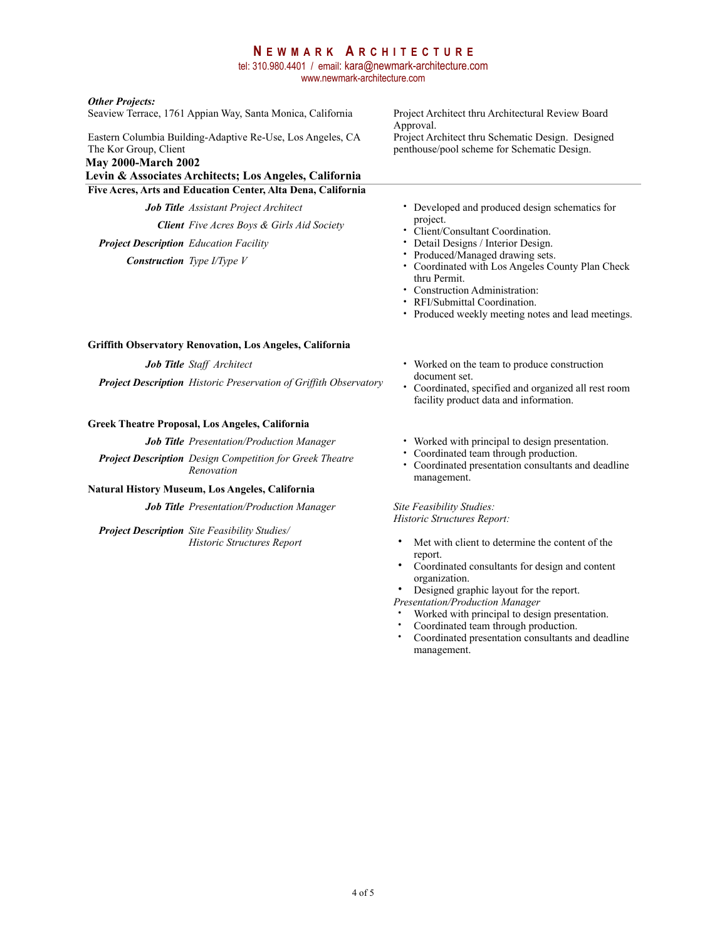tel: 310.980.4401 / email: kara@newmark-architecture.com www.newmark-architecture.com

#### *Other Projects:*

Seaview Terrace, 1761 Appian Way, Santa Monica, California

Eastern Columbia Building-Adaptive Re-Use, Los Angeles, CA The Kor Group, Client

# **May 2000-March 2002**

**Levin & Associates Architects; Los Angeles, California Five Acres, Arts and Education Center, Alta Dena, California**

*Client Five Acres Boys & Girls Aid Society*

*Project Description Education Facility*

*Construction Type I/Type V*

Project Architect thru Architectural Review Board Approval. Project Architect thru Schematic Design. Designed penthouse/pool scheme for Schematic Design.

- *Job Title Assistant Project Architect* Developed and produced design schematics for project.
	- Client/Consultant Coordination.
	- Detail Designs / Interior Design.<br>• Produced/Managed drawing sets
	- Produced/Managed drawing sets.<br>• Coordinated with Los Angeles Co.
	- Coordinated with Los Angeles County Plan Check thru Permit.
	- Construction Administration:
	- RFI/Submittal Coordination.
	- Produced weekly meeting notes and lead meetings.

#### **Griffith Observatory Renovation, Los Angeles, California**

*Project Description Historic Preservation of Griffith Observatory*

#### **Greek Theatre Proposal, Los Angeles, California**

*Project Description Design Competition for Greek Theatre Renovation*

#### **Natural History Museum, Los Angeles, California**

*Job Title Presentation/Production Manager* Site Feasibility Studies:

*Project Description Site Feasibility Studies/ Historic Structures Report*

- *Job Title Staff Architect* Worked on the team to produce construction document set.
	- Coordinated, specified and organized all rest room facility product data and information.
- *Job Title Presentation/Production Manager* Worked with principal to design presentation.
	- Coordinated team through production.
	- Coordinated presentation consultants and deadline management.

*Historic Structures Report:* 

- Met with client to determine the content of the report.
- Coordinated consultants for design and content organization.

Designed graphic layout for the report.

*Presentation/Production Manager*

- Worked with principal to design presentation.
- Coordinated team through production.
- Coordinated presentation consultants and deadline management.